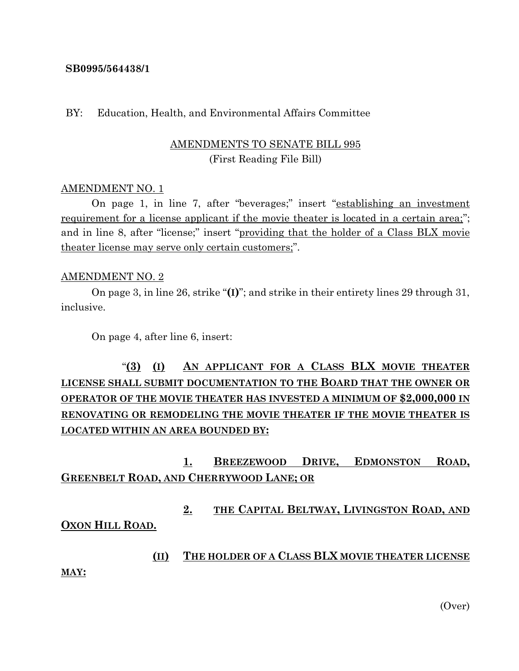#### **SB0995/564438/1**

#### BY: Education, Health, and Environmental Affairs Committee

### AMENDMENTS TO SENATE BILL 995 (First Reading File Bill)

#### AMENDMENT NO. 1

On page 1, in line 7, after "beverages;" insert "establishing an investment requirement for a license applicant if the movie theater is located in a certain area;"; and in line 8, after "license;" insert "providing that the holder of a Class BLX movie theater license may serve only certain customers;".

#### AMENDMENT NO. 2

On page 3, in line 26, strike "**(I)**"; and strike in their entirety lines 29 through 31, inclusive.

On page 4, after line 6, insert:

# "**(3) (I) AN APPLICANT FOR A CLASS BLX MOVIE THEATER LICENSE SHALL SUBMIT DOCUMENTATION TO THE BOARD THAT THE OWNER OR OPERATOR OF THE MOVIE THEATER HAS INVESTED A MINIMUM OF \$2,000,000 IN RENOVATING OR REMODELING THE MOVIE THEATER IF THE MOVIE THEATER IS LOCATED WITHIN AN AREA BOUNDED BY:**

**1. BREEZEWOOD DRIVE, EDMONSTON ROAD, GREENBELT ROAD, AND CHERRYWOOD LANE; OR**

**2. THE CAPITAL BELTWAY, LIVINGSTON ROAD, AND** 

#### **OXON HILL ROAD.**

**(II) THE HOLDER OF A CLASS BLX MOVIE THEATER LICENSE** 

**MAY:**

(Over)